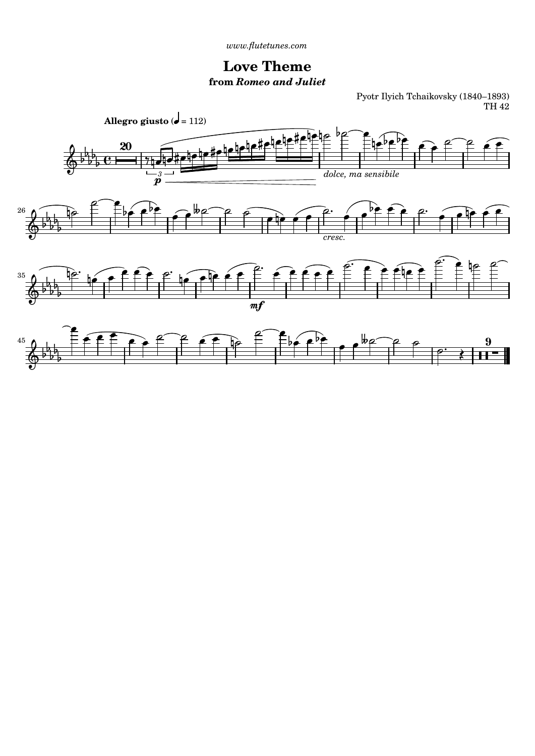*[www.flutetunes.com](http://www.flutetunes.com)* 

## **Love Theme from** *Romeo and Juliet*

Pyotr Ilyich Tchaikovsky (1840–1893) TH 42

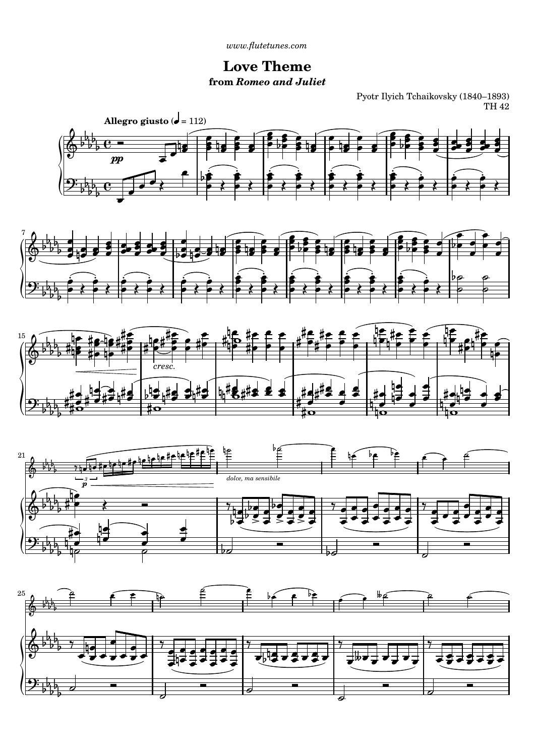*[www.flutetunes.com](http://www.flutetunes.com)* 

## **Love Theme from** *Romeo and Juliet*

Pyotr Ilyich Tchaikovsky (1840–1893) TH 42